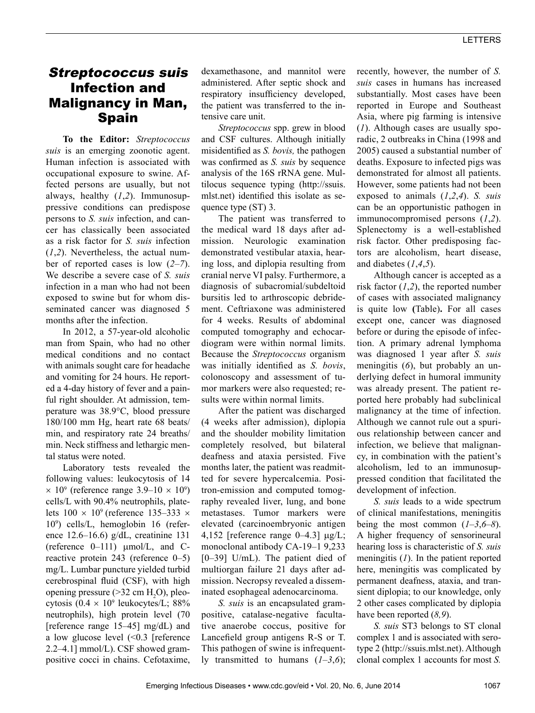# Streptococcus suis Infection and Malignancy in Man, **Spain**

**To the Editor:** *Streptococcus suis* is an emerging zoonotic agent. Human infection is associated with occupational exposure to swine. Affected persons are usually, but not always, healthy (*1*,*2*). Immunosuppressive conditions can predispose persons to *S. suis* infection, and cancer has classically been associated as a risk factor for *S. suis* infection (*1*,*2*). Nevertheless, the actual number of reported cases is low (*2*–*7*). We describe a severe case of *S. suis* infection in a man who had not been exposed to swine but for whom disseminated cancer was diagnosed 5 months after the infection.

In 2012, a 57-year-old alcoholic man from Spain, who had no other medical conditions and no contact with animals sought care for headache and vomiting for 24 hours. He reported a 4-day history of fever and a painful right shoulder. At admission, temperature was 38.9°C, blood pressure 180/100 mm Hg, heart rate 68 beats/ min, and respiratory rate 24 breaths/ min. Neck stiffness and lethargic mental status were noted.

Laboratory tests revealed the following values: leukocytosis of 14  $\times$  10<sup>9</sup> (reference range 3.9–10  $\times$  10<sup>9</sup>) cells/L with 90.4% neutrophils, platelets  $100 \times 10^9$  (reference 135–333  $\times$ 109 ) cells/L, hemoglobin 16 (reference 12.6–16.6) g/dL, creatinine 131 (reference  $0-111$ )  $\mu$ mol/L, and Creactive protein 243 (reference 0–5) mg/L. Lumbar puncture yielded turbid cerebrospinal fluid (CSF), with high opening pressure  $(>32 \text{ cm H}_2\text{O})$ , pleocytosis  $(0.4 \times 10^9 \text{ leukocytes/L}; 88\%$ neutrophils), high protein level (70 [reference range 15–45] mg/dL) and a low glucose level (<0.3 [reference 2.2–4.1] mmol/L). CSF showed grampositive cocci in chains. Cefotaxime,

dexamethasone, and mannitol were administered. After septic shock and respiratory insufficiency developed, the patient was transferred to the intensive care unit.

*Streptococcus* spp. grew in blood and CSF cultures. Although initially misidentified as *S. bovis,* the pathogen was confirmed as *S. suis* by sequence analysis of the 16S rRNA gene. Multilocus sequence typing (http://ssuis. mlst.net) identified this isolate as sequence type (ST) 3.

The patient was transferred to the medical ward 18 days after admission. Neurologic examination demonstrated vestibular ataxia, hearing loss, and diplopia resulting from cranial nerve VI palsy. Furthermore, a diagnosis of subacromial/subdeltoid bursitis led to arthroscopic debridement. Ceftriaxone was administered for 4 weeks. Results of abdominal computed tomography and echocardiogram were within normal limits. Because the *Streptococcus* organism was initially identified as *S. bovis*, colonoscopy and assessment of tumor markers were also requested; results were within normal limits.

After the patient was discharged (4 weeks after admission), diplopia and the shoulder mobility limitation completely resolved, but bilateral deafness and ataxia persisted. Five months later, the patient was readmitted for severe hypercalcemia. Positron-emission and computed tomography revealed liver, lung, and bone metastases. Tumor markers were elevated (carcinoembryonic antigen 4,152 [reference range  $0-4.3$ ]  $\mu$ g/L; monoclonal antibody CA-19–1 9,233 [0–39] U/mL). The patient died of multiorgan failure 21 days after admission. Necropsy revealed a disseminated esophageal adenocarcinoma.

*S. suis* is an encapsulated grampositive, catalase-negative facultative anaerobe coccus, positive for Lancefield group antigens R-S or T. This pathogen of swine is infrequently transmitted to humans (*1*–*3*,*6*); recently, however, the number of *S. suis* cases in humans has increased substantially. Most cases have been reported in Europe and Southeast Asia, where pig farming is intensive (*1*). Although cases are usually sporadic, 2 outbreaks in China (1998 and 2005) caused a substantial number of deaths. Exposure to infected pigs was demonstrated for almost all patients. However, some patients had not been exposed to animals (*1*,*2*,*4*). *S. suis* can be an opportunistic pathogen in immunocompromised persons (*1*,*2*). Splenectomy is a well-established risk factor. Other predisposing factors are alcoholism, heart disease, and diabetes (*1*,*4*,*5*).

Although cancer is accepted as a risk factor (*1*,*2*), the reported number of cases with associated malignancy is quite low **(**Table)**.** For all cases except one, cancer was diagnosed before or during the episode of infection. A primary adrenal lymphoma was diagnosed 1 year after *S. suis* meningitis (*6*), but probably an underlying defect in humoral immunity was already present. The patient reported here probably had subclinical malignancy at the time of infection. Although we cannot rule out a spurious relationship between cancer and infection, we believe that malignancy, in combination with the patient's alcoholism, led to an immunosuppressed condition that facilitated the development of infection.

*S. suis* leads to a wide spectrum of clinical manifestations, meningitis being the most common  $(1-3, 6-8)$ . A higher frequency of sensorineural hearing loss is characteristic of *S. suis* meningitis (*1*). In the patient reported here, meningitis was complicated by permanent deafness, ataxia, and transient diplopia; to our knowledge, only 2 other cases complicated by diplopia have been reported (*8,9*).

*S. suis* ST3 belongs to ST clonal complex 1 and is associated with serotype 2 (http://ssuis.mlst.net). Although clonal complex 1 accounts for most *S.*